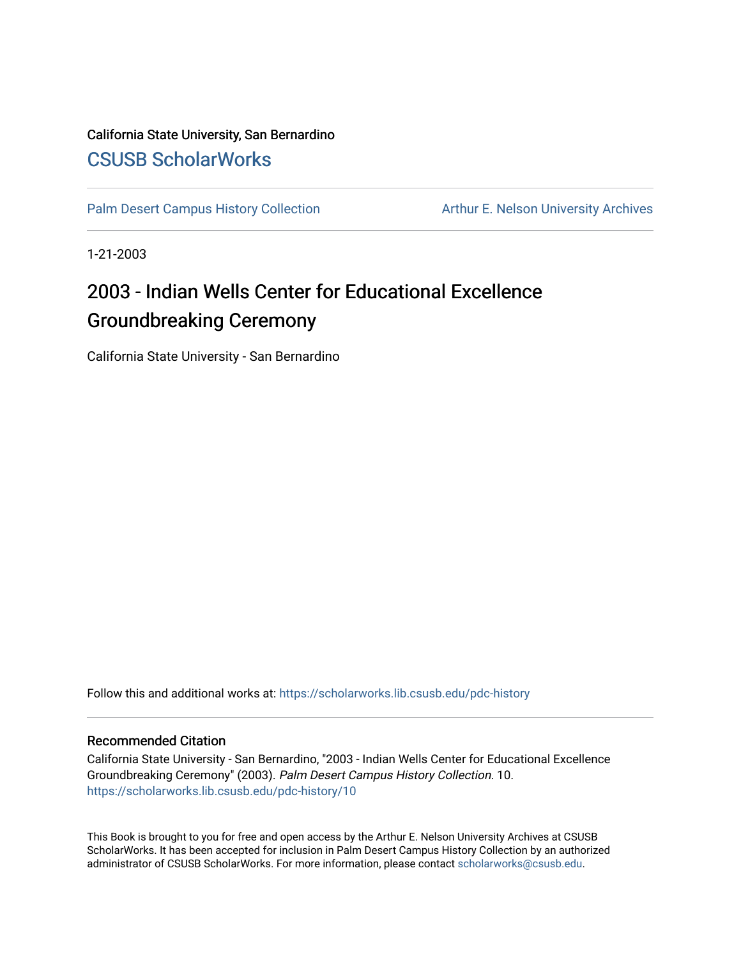### California State University, San Bernardino [CSUSB ScholarWorks](https://scholarworks.lib.csusb.edu/)

[Palm Desert Campus History Collection](https://scholarworks.lib.csusb.edu/pdc-history) Arthur E. Nelson University Archives

1-21-2003

## 2003 - Indian Wells Center for Educational Excellence Groundbreaking Ceremony

California State University - San Bernardino

Follow this and additional works at: [https://scholarworks.lib.csusb.edu/pdc-history](https://scholarworks.lib.csusb.edu/pdc-history?utm_source=scholarworks.lib.csusb.edu%2Fpdc-history%2F10&utm_medium=PDF&utm_campaign=PDFCoverPages)

#### Recommended Citation

California State University - San Bernardino, "2003 - Indian Wells Center for Educational Excellence Groundbreaking Ceremony" (2003). Palm Desert Campus History Collection. 10. [https://scholarworks.lib.csusb.edu/pdc-history/10](https://scholarworks.lib.csusb.edu/pdc-history/10?utm_source=scholarworks.lib.csusb.edu%2Fpdc-history%2F10&utm_medium=PDF&utm_campaign=PDFCoverPages)

This Book is brought to you for free and open access by the Arthur E. Nelson University Archives at CSUSB ScholarWorks. It has been accepted for inclusion in Palm Desert Campus History Collection by an authorized administrator of CSUSB ScholarWorks. For more information, please contact [scholarworks@csusb.edu](mailto:scholarworks@csusb.edu).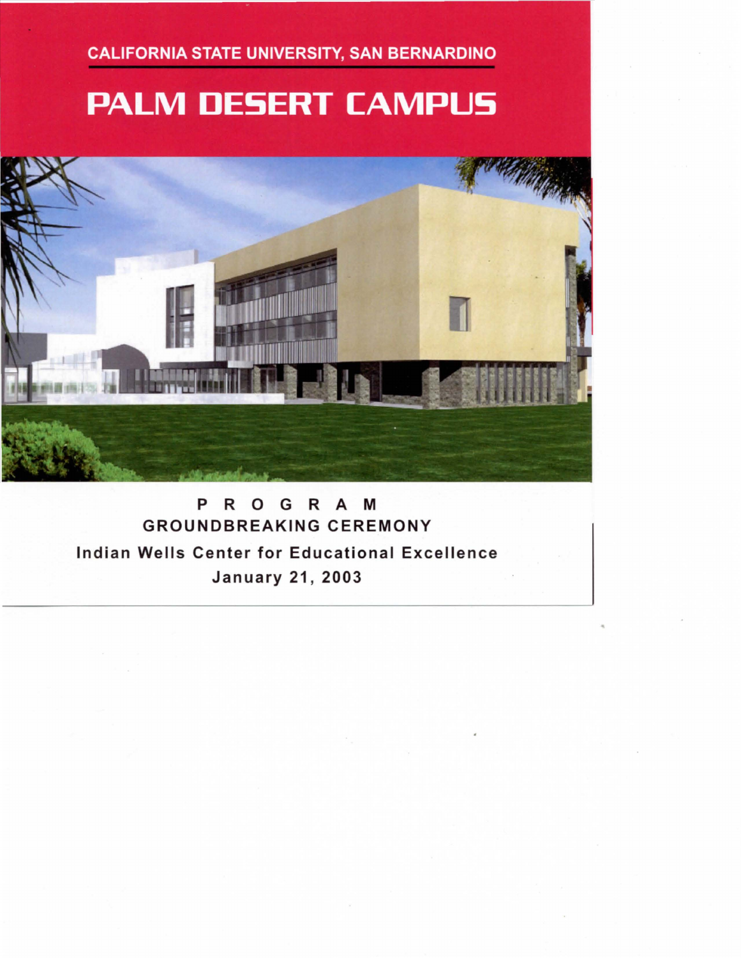**CALIFORNIA STATE UNIVERSITY, SAN BERNARDINO** 

# **PALM DESERT CAMPUS**



P R 0 G R A M GROUNDBREAKING CEREMONY Indian Wells Center for Educational Excellence **January 21, 2003**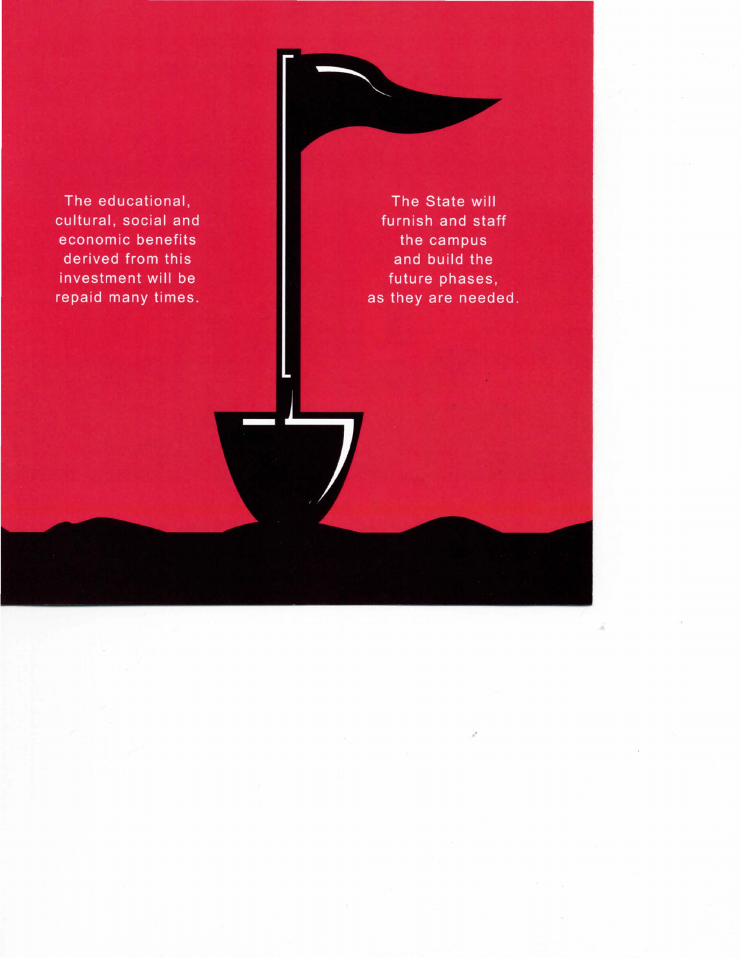The educational, cultural, social and economic benefits derived from this investment will be repaid many times.

The State will furnish and staff the campus and build the future phases, as they are needed.